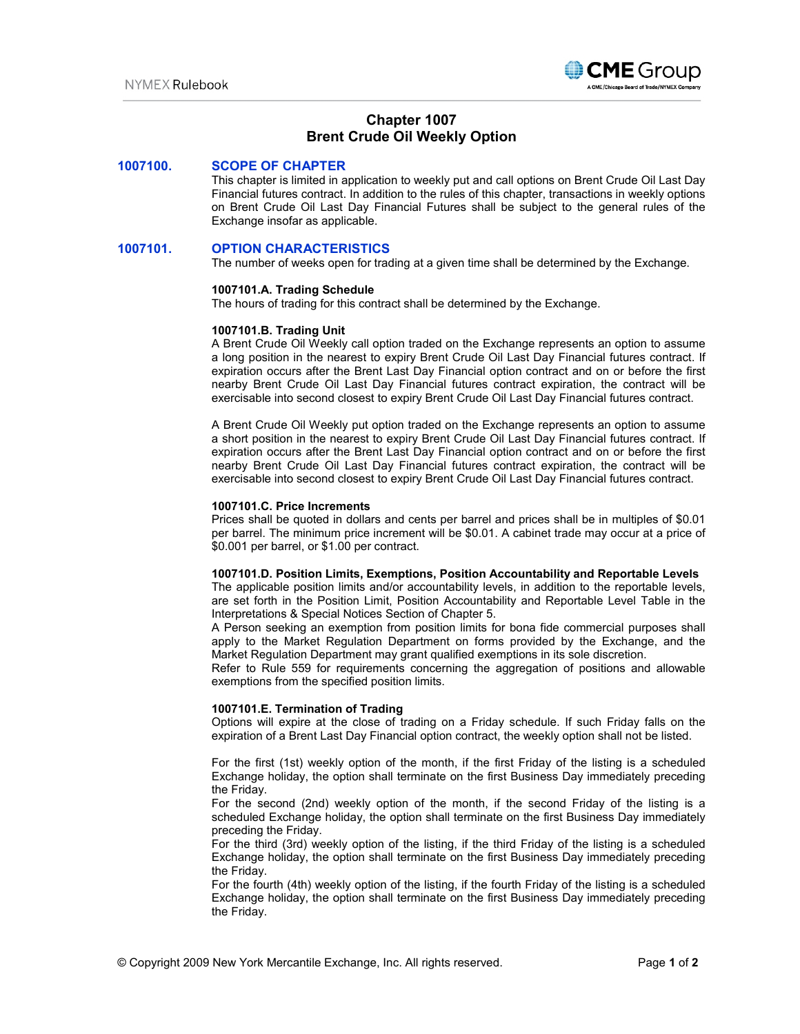

# **Chapter 1007 Brent Crude Oil Weekly Option**

### **1007100. SCOPE OF CHAPTER**

This chapter is limited in application to weekly put and call options on Brent Crude Oil Last Day Financial futures contract. In addition to the rules of this chapter, transactions in weekly options on Brent Crude Oil Last Day Financial Futures shall be subject to the general rules of the Exchange insofar as applicable.

### **1007101. OPTION CHARACTERISTICS**

The number of weeks open for trading at a given time shall be determined by the Exchange.

#### **1007101.A. Trading Schedule**

The hours of trading for this contract shall be determined by the Exchange.

#### **1007101.B. Trading Unit**

A Brent Crude Oil Weekly call option traded on the Exchange represents an option to assume a long position in the nearest to expiry Brent Crude Oil Last Day Financial futures contract. If expiration occurs after the Brent Last Day Financial option contract and on or before the first nearby Brent Crude Oil Last Day Financial futures contract expiration, the contract will be exercisable into second closest to expiry Brent Crude Oil Last Day Financial futures contract.

A Brent Crude Oil Weekly put option traded on the Exchange represents an option to assume a short position in the nearest to expiry Brent Crude Oil Last Day Financial futures contract. If expiration occurs after the Brent Last Day Financial option contract and on or before the first nearby Brent Crude Oil Last Day Financial futures contract expiration, the contract will be exercisable into second closest to expiry Brent Crude Oil Last Day Financial futures contract.

#### **1007101.C. Price Increments**

Prices shall be quoted in dollars and cents per barrel and prices shall be in multiples of \$0.01 per barrel. The minimum price increment will be \$0.01. A cabinet trade may occur at a price of \$0.001 per barrel, or \$1.00 per contract.

### **1007101.D. Position Limits, Exemptions, Position Accountability and Reportable Levels**

The applicable position limits and/or accountability levels, in addition to the reportable levels, are set forth in the Position Limit, Position Accountability and Reportable Level Table in the Interpretations & Special Notices Section of Chapter 5.

A Person seeking an exemption from position limits for bona fide commercial purposes shall apply to the Market Regulation Department on forms provided by the Exchange, and the Market Regulation Department may grant qualified exemptions in its sole discretion.

Refer to Rule 559 for requirements concerning the aggregation of positions and allowable exemptions from the specified position limits.

### **1007101.E. Termination of Trading**

Options will expire at the close of trading on a Friday schedule. If such Friday falls on the expiration of a Brent Last Day Financial option contract, the weekly option shall not be listed.

For the first (1st) weekly option of the month, if the first Friday of the listing is a scheduled Exchange holiday, the option shall terminate on the first Business Day immediately preceding the Friday.

For the second (2nd) weekly option of the month, if the second Friday of the listing is a scheduled Exchange holiday, the option shall terminate on the first Business Day immediately preceding the Friday.

For the third (3rd) weekly option of the listing, if the third Friday of the listing is a scheduled Exchange holiday, the option shall terminate on the first Business Day immediately preceding the Friday.

For the fourth (4th) weekly option of the listing, if the fourth Friday of the listing is a scheduled Exchange holiday, the option shall terminate on the first Business Day immediately preceding the Friday.